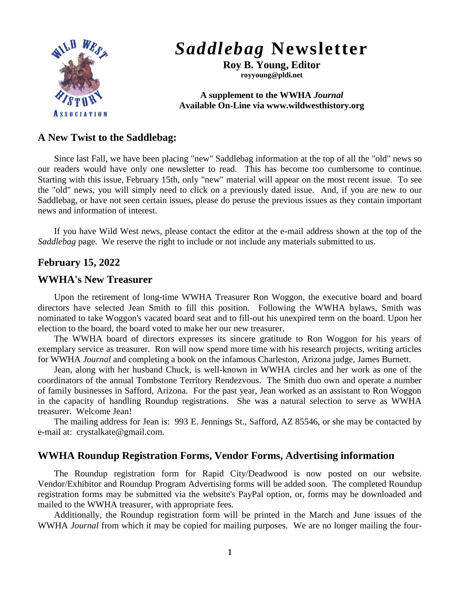

# *Saddlebag* **Newsletter**

**Roy B. Young, Editor royyoung@pldi.net**

#### **A supplement to the WWHA** *Journal* **Available On-Line via www.wildwesthistory.org**

## **A New Twist to the Saddlebag:**

Since last Fall, we have been placing "new" Saddlebag information at the top of all the "old" news so our readers would have only one newsletter to read. This has become too cumbersome to continue. Starting with this issue, February 15th, only "new" material will appear on the most recent issue. To see the "old" news, you will simply need to click on a previously dated issue. And, if you are new to our Saddlebag, or have not seen certain issues, please do peruse the previous issues as they contain important news and information of interest.

If you have Wild West news, please contact the editor at the e-mail address shown at the top of the *Saddlebag* page. We reserve the right to include or not include any materials submitted to us.

# **February 15, 2022**

### **WWHA's New Treasurer**

Upon the retirement of long-time WWHA Treasurer Ron Woggon, the executive board and board directors have selected Jean Smith to fill this position. Following the WWHA bylaws, Smith was nominated to take Woggon's vacated board seat and to fill-out his unexpired term on the board. Upon her election to the board, the board voted to make her our new treasurer.

The WWHA board of directors expresses its sincere gratitude to Ron Woggon for his years of exemplary service as treasurer. Ron will now spend more time with his research projects, writing articles for WWHA *Journal* and completing a book on the infamous Charleston, Arizona judge, James Burnett.

Jean, along with her husband Chuck, is well-known in WWHA circles and her work as one of the coordinators of the annual Tombstone Territory Rendezvous. The Smith duo own and operate a number of family businesses in Safford, Arizona. For the past year, Jean worked as an assistant to Ron Woggon in the capacity of handling Roundup registrations. She was a natural selection to serve as WWHA treasurer. Welcome Jean!

The mailing address for Jean is: 993 E. Jennings St., Safford, AZ 85546, or she may be contacted by e-mail at: crystalkate@gmail.com.

# **WWHA Roundup Registration Forms, Vendor Forms, Advertising information**

The Roundup registration form for Rapid City/Deadwood is now posted on our website. Vendor/Exhibitor and Roundup Program Advertising forms will be added soon. The completed Roundup registration forms may be submitted via the website's PayPal option, or, forms may be downloaded and mailed to the WWHA treasurer, with appropriate fees.

Additionally, the Roundup registration form will be printed in the March and June issues of the WWHA *Journal* from which it may be copied for mailing purposes. We are no longer mailing the four-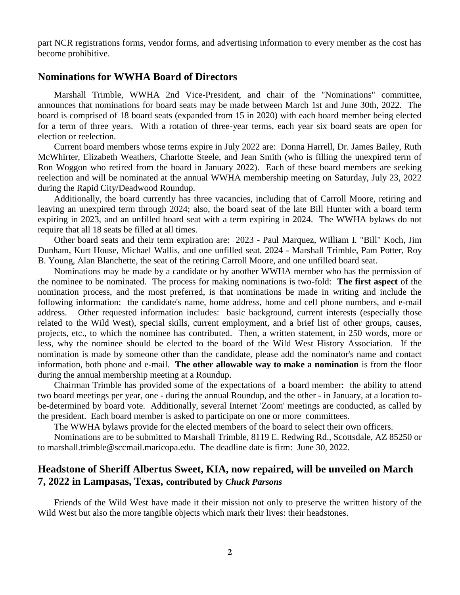part NCR registrations forms, vendor forms, and advertising information to every member as the cost has become prohibitive.

#### **Nominations for WWHA Board of Directors**

Marshall Trimble, WWHA 2nd Vice-President, and chair of the "Nominations" committee, announces that nominations for board seats may be made between March 1st and June 30th, 2022. The board is comprised of 18 board seats (expanded from 15 in 2020) with each board member being elected for a term of three years. With a rotation of three-year terms, each year six board seats are open for election or reelection.

Current board members whose terms expire in July 2022 are: Donna Harrell, Dr. James Bailey, Ruth McWhirter, Elizabeth Weathers, Charlotte Steele, and Jean Smith (who is filling the unexpired term of Ron Woggon who retired from the board in January 2022). Each of these board members are seeking reelection and will be nominated at the annual WWHA membership meeting on Saturday, July 23, 2022 during the Rapid City/Deadwood Roundup.

Additionally, the board currently has three vacancies, including that of Carroll Moore, retiring and leaving an unexpired term through 2024; also, the board seat of the late Bill Hunter with a board term expiring in 2023, and an unfilled board seat with a term expiring in 2024. The WWHA bylaws do not require that all 18 seats be filled at all times.

Other board seats and their term expiration are: 2023 - Paul Marquez, William I. "Bill" Koch, Jim Dunham, Kurt House, Michael Wallis, and one unfilled seat. 2024 - Marshall Trimble, Pam Potter, Roy B. Young, Alan Blanchette, the seat of the retiring Carroll Moore, and one unfilled board seat.

Nominations may be made by a candidate or by another WWHA member who has the permission of the nominee to be nominated. The process for making nominations is two-fold: **The first aspect** of the nomination process, and the most preferred, is that nominations be made in writing and include the following information: the candidate's name, home address, home and cell phone numbers, and e-mail address. Other requested information includes: basic background, current interests (especially those related to the Wild West), special skills, current employment, and a brief list of other groups, causes, projects, etc., to which the nominee has contributed. Then, a written statement, in 250 words, more or less, why the nominee should be elected to the board of the Wild West History Association. If the nomination is made by someone other than the candidate, please add the nominator's name and contact information, both phone and e-mail. **The other allowable way to make a nomination** is from the floor during the annual membership meeting at a Roundup.

Chairman Trimble has provided some of the expectations of a board member: the ability to attend two board meetings per year, one - during the annual Roundup, and the other - in January, at a location tobe-determined by board vote. Additionally, several Internet 'Zoom' meetings are conducted, as called by the president. Each board member is asked to participate on one or more committees.

The WWHA bylaws provide for the elected members of the board to select their own officers.

Nominations are to be submitted to Marshall Trimble, 8119 E. Redwing Rd., Scottsdale, AZ 85250 or to marshall.trimble@sccmail.maricopa.edu. The deadline date is firm: June 30, 2022.

### **Headstone of Sheriff Albertus Sweet, KIA, now repaired, will be unveiled on March 7, 2022 in Lampasas, Texas, contributed by** *Chuck Parsons*

Friends of the Wild West have made it their mission not only to preserve the written history of the Wild West but also the more tangible objects which mark their lives: their headstones.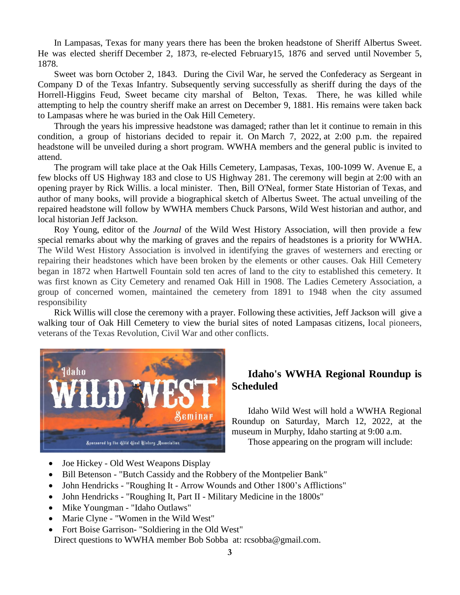In Lampasas, Texas for many years there has been the broken headstone of Sheriff Albertus Sweet. He was elected sheriff December 2, 1873, re-elected February15, 1876 and served until November 5, 1878.

Sweet was born October 2, 1843. During the Civil War, he served the Confederacy as Sergeant in Company D of the Texas Infantry. Subsequently serving successfully as sheriff during the days of the Horrell-Higgins Feud, Sweet became city marshal of Belton, Texas. There, he was killed while attempting to help the country sheriff make an arrest on December 9, 1881. His remains were taken back to Lampasas where he was buried in the Oak Hill Cemetery.

Through the years his impressive headstone was damaged; rather than let it continue to remain in this condition, a group of historians decided to repair it. On March 7, 2022, at 2:00 p.m. the repaired headstone will be unveiled during a short program. WWHA members and the general public is invited to attend.

The program will take place at the Oak Hills Cemetery, Lampasas, Texas, 100-1099 W. Avenue E, a few blocks off US Highway 183 and close to US Highway 281. The ceremony will begin at 2:00 with an opening prayer by Rick Willis. a local minister. Then, Bill O'Neal, former State Historian of Texas, and author of many books, will provide a biographical sketch of Albertus Sweet. The actual unveiling of the repaired headstone will follow by WWHA members Chuck Parsons, Wild West historian and author, and local historian Jeff Jackson.

Roy Young, editor of the *Journal* of the Wild West History Association, will then provide a few special remarks about why the marking of graves and the repairs of headstones is a priority for WWHA. The Wild West History Association is involved in identifying the graves of westerners and erecting or repairing their headstones which have been broken by the elements or other causes. Oak Hill Cemetery began in 1872 when Hartwell Fountain sold ten acres of land to the city to established this cemetery. It was first known as City Cemetery and renamed Oak Hill in 1908. The Ladies Cemetery Association, a group of concerned women, maintained the cemetery from 1891 to 1948 when the city assumed responsibility

Rick Willis will close the ceremony with a prayer. Following these activities, Jeff Jackson will give a walking tour of Oak Hill Cemetery to view the burial sites of noted Lampasas citizens, local pioneers, veterans of the Texas Revolution, Civil War and other conflicts.



# **Idaho's WWHA Regional Roundup is Scheduled**

Idaho Wild West will hold a WWHA Regional Roundup on Saturday, March 12, 2022, at the museum in Murphy, Idaho starting at 9:00 a.m.

Those appearing on the program will include:

- Joe Hickey Old West Weapons Display
- Bill Betenson "Butch Cassidy and the Robbery of the Montpelier Bank"
- John Hendricks "Roughing It Arrow Wounds and Other 1800's Afflictions"
- John Hendricks "Roughing It, Part II Military Medicine in the 1800s"
- Mike Youngman "Idaho Outlaws"
- Marie Clyne "Women in the Wild West"
- Fort Boise Garrison- "Soldiering in the Old West"

Direct questions to WWHA member Bob Sobba at: rcsobba@gmail.com.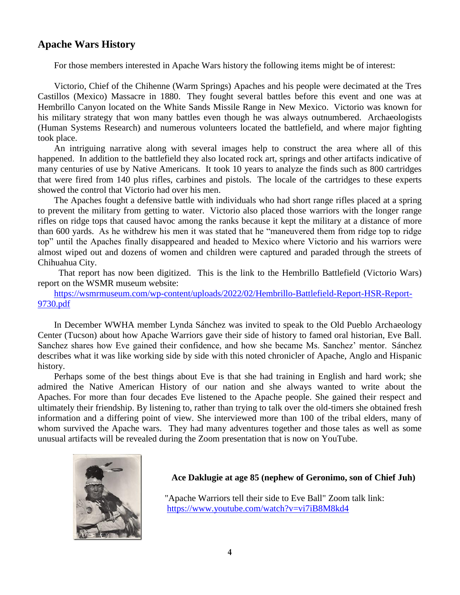## **Apache Wars History**

For those members interested in Apache Wars history the following items might be of interest:

Victorio, Chief of the Chihenne (Warm Springs) Apaches and his people were decimated at the Tres Castillos (Mexico) Massacre in 1880. They fought several battles before this event and one was at Hembrillo Canyon located on the White Sands Missile Range in New Mexico. Victorio was known for his military strategy that won many battles even though he was always outnumbered. Archaeologists (Human Systems Research) and numerous volunteers located the battlefield, and where major fighting took place.

An intriguing narrative along with several images help to construct the area where all of this happened. In addition to the battlefield they also located rock art, springs and other artifacts indicative of many centuries of use by Native Americans. It took 10 years to analyze the finds such as 800 cartridges that were fired from 140 plus rifles, carbines and pistols. The locale of the cartridges to these experts showed the control that Victorio had over his men.

The Apaches fought a defensive battle with individuals who had short range rifles placed at a spring to prevent the military from getting to water. Victorio also placed those warriors with the longer range rifles on ridge tops that caused havoc among the ranks because it kept the military at a distance of more than 600 yards. As he withdrew his men it was stated that he "maneuvered them from ridge top to ridge top" until the Apaches finally disappeared and headed to Mexico where Victorio and his warriors were almost wiped out and dozens of women and children were captured and paraded through the streets of Chihuahua City.

That report has now been digitized. This is the link to the Hembrillo Battlefield (Victorio Wars) report on the WSMR museum website:

[https://wsmrmuseum.com/wp-content/uploads/2022/02/Hembrillo-Battlefield-Report-HSR-Report-](https://wsmrmuseum.com/wp-content/uploads/2022/02/Hembrillo-Battlefield-Report-HSR-Report-9730.pdf)[9730.pdf](https://wsmrmuseum.com/wp-content/uploads/2022/02/Hembrillo-Battlefield-Report-HSR-Report-9730.pdf)

In December WWHA member Lynda Sánchez was invited to speak to the Old Pueblo Archaeology Center (Tucson) about how Apache Warriors gave their side of history to famed oral historian, Eve Ball. Sanchez shares how Eve gained their confidence, and how she became Ms. Sanchez' mentor. Sánchez describes what it was like working side by side with this noted chronicler of Apache, Anglo and Hispanic history.

Perhaps some of the best things about Eve is that she had training in English and hard work; she admired the Native American History of our nation and she always wanted to write about the Apaches. For more than four decades Eve listened to the Apache people. She gained their respect and ultimately their friendship. By listening to, rather than trying to talk over the old-timers she obtained fresh information and a differing point of view. She interviewed more than 100 of the tribal elders, many of whom survived the Apache wars. They had many adventures together and those tales as well as some unusual artifacts will be revealed during the Zoom presentation that is now on YouTube.



#### **Ace Daklugie at age 85 (nephew of Geronimo, son of Chief Juh)**

"Apache Warriors tell their side to Eve Ball" Zoom talk link: <https://www.youtube.com/watch?v=vi7iB8M8kd4>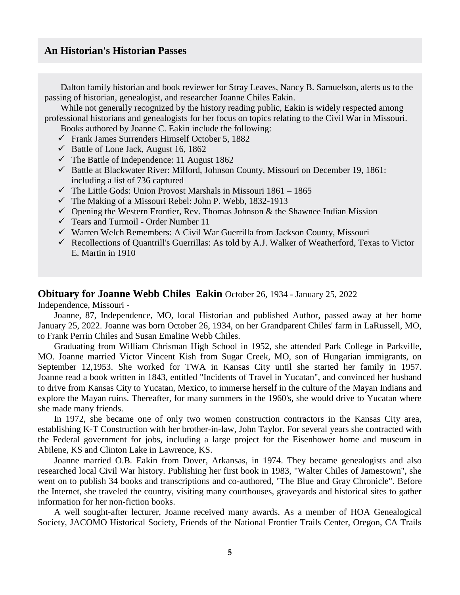## **An Historian's Historian Passes**

Dalton family historian and book reviewer for Stray Leaves, Nancy B. Samuelson, alerts us to the passing of historian, genealogist, and researcher Joanne Chiles Eakin.

While not generally recognized by the history reading public, Eakin is widely respected among professional historians and genealogists for her focus on topics relating to the Civil War in Missouri.

Books authored by Joanne C. Eakin include the following:

- Frank James Surrenders Himself October 5, 1882
- $\checkmark$  Battle of Lone Jack, August 16, 1862
- $\checkmark$  The Battle of Independence: 11 August 1862
- $\checkmark$  Battle at Blackwater River: Milford, Johnson County, Missouri on December 19, 1861: including a list of 736 captured
- $\checkmark$  The Little Gods: Union Provost Marshals in Missouri 1861 1865
- $\checkmark$  The Making of a Missouri Rebel: John P. Webb, 1832-1913
- $\checkmark$  Opening the Western Frontier, Rev. Thomas Johnson & the Shawnee Indian Mission
- $\checkmark$  Tears and Turmoil Order Number 11
- $\checkmark$  Warren Welch Remembers: A Civil War Guerrilla from Jackson County, Missouri
- Recollections of Quantrill's Guerrillas: As told by A.J. Walker of Weatherford, Texas to Victor E. Martin in 1910

#### **[Obituary for Joanne Webb Chiles Eakin](https://ericjames.org/wordpress/?nltr=MTM7MTQxO2h0dHBzOi8vd3d3LmxlZ2FjeS5jb20vdXMvb2JpdHVhcmllcy9rYW5zYXNjaXR5L25hbWUvam9hbm5lLWVha2luLW9iaXR1YXJ5P2lkPTMyNDA3MDE4JmZiY2xpZD1Jd0FSMnh2SS1PMGVUc0RYem5YWG1XS0hjUkxuYndjTkpRci0taG83ZHB3LWtPd2c0U1RaRDRRc0ZQbWtVOzszNTYwMjNhYmE3YmE5NWQ2ZGUxOTg0ODEyYWRlMDA3OQ%3D%3D)** October 26, 1934 - January 25, 2022 Independence, Missouri -

Joanne, 87, Independence, MO, local Historian and published Author, passed away at her home January 25, 2022. Joanne was born October 26, 1934, on her Grandparent Chiles' farm in LaRussell, MO, to Frank Perrin Chiles and Susan Emaline Webb Chiles.

Graduating from William Chrisman High School in 1952, she attended Park College in Parkville, MO. Joanne married Victor Vincent Kish from Sugar Creek, MO, son of Hungarian immigrants, on September 12,1953. She worked for TWA in Kansas City until she started her family in 1957. Joanne read a book written in 1843, entitled "Incidents of Travel in Yucatan", and convinced her husband to drive from Kansas City to Yucatan, Mexico, to immerse herself in the culture of the Mayan Indians and explore the Mayan ruins. Thereafter, for many summers in the 1960's, she would drive to Yucatan where she made many friends.

In 1972, she became one of only two women construction contractors in the Kansas City area, establishing K-T Construction with her brother-in-law, John Taylor. For several years she contracted with the Federal government for jobs, including a large project for the Eisenhower home and museum in Abilene, KS and Clinton Lake in Lawrence, KS.

Joanne married O.B. Eakin from Dover, Arkansas, in 1974. They became genealogists and also researched local Civil War history. Publishing her first book in 1983, "Walter Chiles of Jamestown", she went on to publish 34 books and transcriptions and co-authored, "The Blue and Gray Chronicle". Before the Internet, she traveled the country, visiting many courthouses, graveyards and historical sites to gather information for her non-fiction books.

A well sought-after lecturer, Joanne received many awards. As a member of HOA Genealogical Society, JACOMO Historical Society, Friends of the National Frontier Trails Center, Oregon, CA Trails